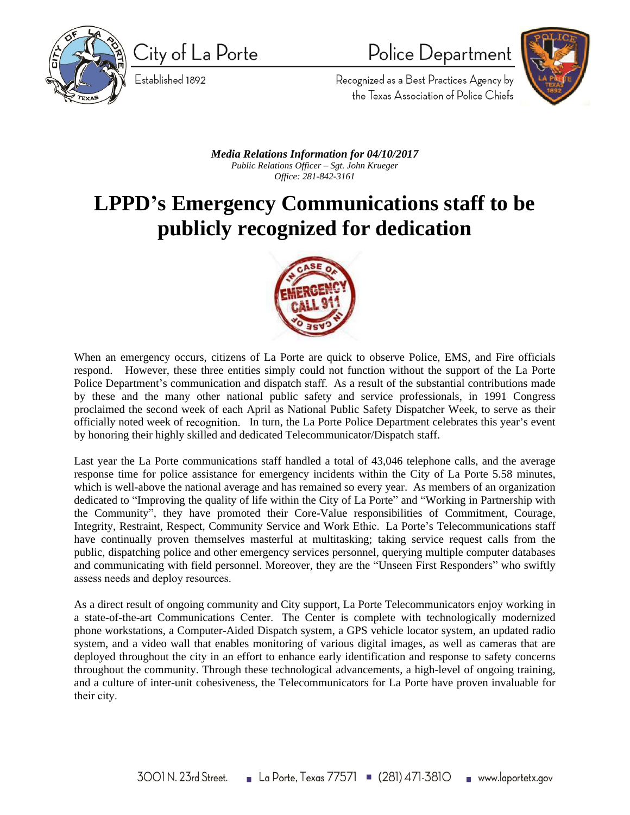

City of La Porte

Established 1892

Police Department



Recognized as a Best Practices Agency by the Texas Association of Police Chiefs

*Media Relations Information for 04/10/2017 Public Relations Officer – Sgt. John Krueger Office: 281-842-3161*

## **LPPD's Emergency Communications staff to be publicly recognized for dedication**



When an emergency occurs, citizens of La Porte are quick to observe Police, EMS, and Fire officials respond. However, these three entities simply could not function without the support of the La Porte Police Department's communication and dispatch staff. As a result of the substantial contributions made by these and the many other national public safety and service professionals, in 1991 Congress proclaimed the second week of each April as National Public Safety Dispatcher Week, to serve as their officially noted week of recognition. In turn, the La Porte Police Department celebrates this year's event by honoring their highly skilled and dedicated Telecommunicator/Dispatch staff.

Last year the La Porte communications staff handled a total of 43,046 telephone calls, and the average response time for police assistance for emergency incidents within the City of La Porte 5.58 minutes, which is well-above the national average and has remained so every year. As members of an organization dedicated to "Improving the quality of life within the City of La Porte" and "Working in Partnership with the Community", they have promoted their Core-Value responsibilities of Commitment, Courage, Integrity, Restraint, Respect, Community Service and Work Ethic. La Porte's Telecommunications staff have continually proven themselves masterful at multitasking; taking service request calls from the public, dispatching police and other emergency services personnel, querying multiple computer databases and communicating with field personnel. Moreover, they are the "Unseen First Responders" who swiftly assess needs and deploy resources.

As a direct result of ongoing community and City support, La Porte Telecommunicators enjoy working in a state-of-the-art Communications Center. The Center is complete with technologically modernized phone workstations, a Computer-Aided Dispatch system, a GPS vehicle locator system, an updated radio system, and a video wall that enables monitoring of various digital images, as well as cameras that are deployed throughout the city in an effort to enhance early identification and response to safety concerns throughout the community. Through these technological advancements, a high-level of ongoing training, and a culture of inter-unit cohesiveness, the Telecommunicators for La Porte have proven invaluable for their city.